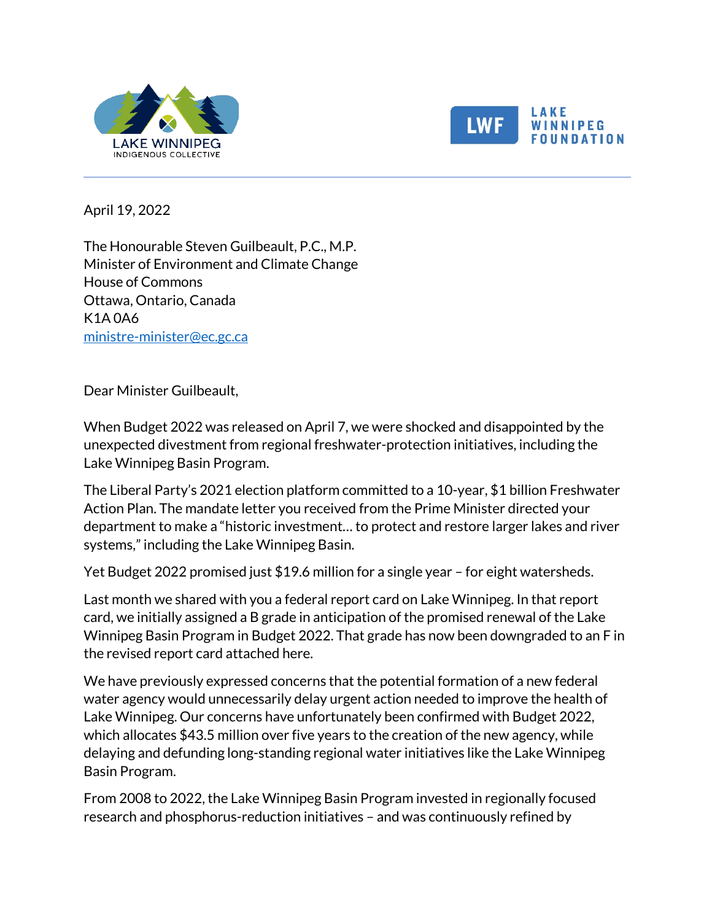



## LAKE NNIPEG **NDATION**

April 19, 2022

The Honourable Steven Guilbeault, P.C., M.P. Minister of Environment and Climate Change House of Commons Ottawa, Ontario, Canada K1A 0A6 [ministre-minister@ec.gc.ca](mailto:ministre-minister@ec.gc.ca)

Dear Minister Guilbeault,

When Budget 2022 was released on April 7, we were shocked and disappointed by the unexpected divestment from regional freshwater-protection initiatives, including the Lake Winnipeg Basin Program.

The Liberal Party's 2021 election platform committed to a 10-year, \$1 billion Freshwater Action Plan. The mandate letter you received from the Prime Minister directed your department to make a "historic investment… to protect and restore larger lakes and river systems," including the Lake Winnipeg Basin.

Yet Budget 2022 promised just \$19.6 million for a single year – for eight watersheds.

Last month we shared with you a federal report card on Lake Winnipeg. In that report card, we initially assigned a B grade in anticipation of the promised renewal of the Lake Winnipeg Basin Program in Budget 2022. That grade has now been downgraded to an F in the revised report card attached here.

We have previously expressed concerns that the potential formation of a new federal water agency would unnecessarily delay urgent action needed to improve the health of Lake Winnipeg. Our concerns have unfortunately been confirmed with Budget 2022, which allocates \$43.5 million over five years to the creation of the new agency, while delaying and defunding long-standing regional water initiatives like the Lake Winnipeg Basin Program.

From 2008 to 2022, the Lake Winnipeg Basin Program invested in regionally focused research and phosphorus-reduction initiatives – and was continuously refined by